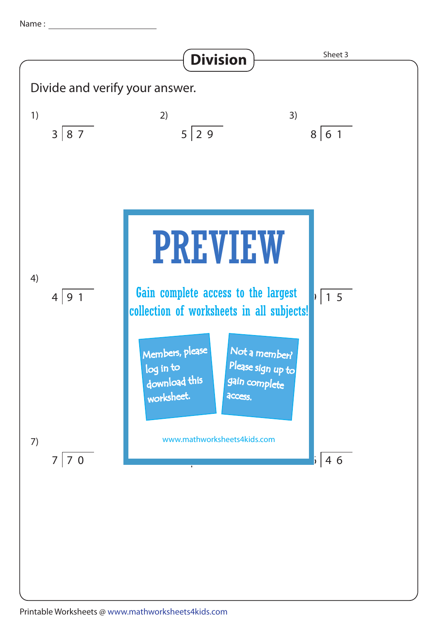